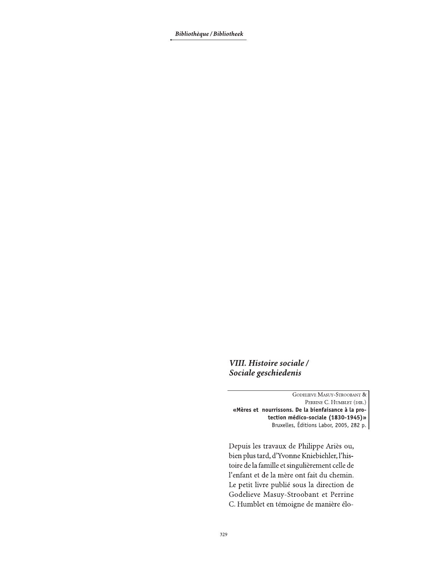Bibliothèque / Bibliotheek

VIII. Histoire sociale / Sociale geschiedenis

**GODELIEVE MASUY-STROOBANT &** PERRINE C. HUMBLET (DIR.) «Mères et nourrissons. De la bienfaisance à la protection médico-sociale (1830-1945)» Bruxelles, Éditions Labor, 2005, 282 p.

Depuis les travaux de Philippe Ariès ou, bien plus tard, d'Yvonne Kniebiehler, l'histoire de la famille et singulièrement celle de l'enfant et de la mère ont fait du chemin. Le petit livre publié sous la direction de Godelieve Masuy-Stroobant et Perrine C. Humblet en témoigne de manière élo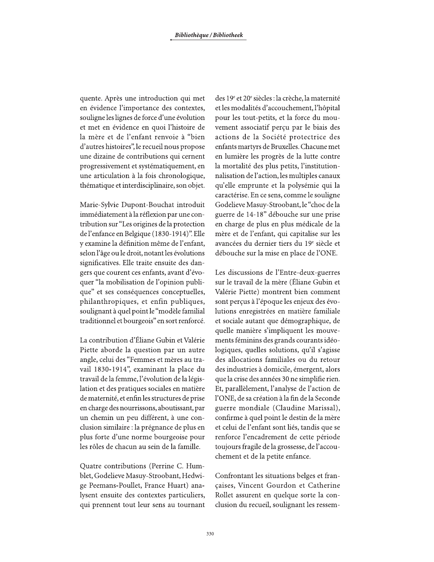quente. Après une introduction qui met en évidence l'importance des contextes, souligne les lignes de force d'une évolution et met en évidence en quoi l'histoire de la mère et de l'enfant renvoie à "bien d'autres histoires", le recueil nous propose une dizaine de contributions qui cernent progressivement et systématiquement, en une articulation à la fois chronologique, thématique et interdisciplinaire, son objet.

Marie-Sylvie Dupont-Bouchat introduit immédiatement à la réflexion par une contribution sur "Les origines de la protection de l'enfance en Belgique (1830-1914)". Elle y examine la définition même de l'enfant, selon l'âge ou le droit, notant les évolutions significatives. Elle traite ensuite des dangers que courent ces enfants, avant d'évoquer "la mobilisation de l'opinion publique" et ses conséquences conceptuelles, philanthropiques, et enfin publiques, soulignant à quel point le "modèle familial traditionnel et bourgeois" en sort renforcé.

La contribution d'Éliane Gubin et Valérie Piette aborde la question par un autre angle, celui des "Femmes et mères au travail 1830-1914", examinant la place du travail de la femme, l'évolution de la législation et des pratiques sociales en matière de maternité, et enfin les structures de prise en charge des nourrissons, aboutissant, par un chemin un peu différent, à une conclusion similaire : la prégnance de plus en plus forte d'une norme bourgeoise pour les rôles de chacun au sein de la famille.

Quatre contributions (Perrine C. Humblet, Godelieve Masuy-Stroobant, Hedwige Peemans-Poullet, France Huart) analysent ensuite des contextes particuliers, qui prennent tout leur sens au tournant des 19<sup>e</sup> et 20<sup>e</sup> siècles : la crèche, la maternité et les modalités d'accouchement, l'hôpital pour les tout-petits, et la force du mouvement associatif perçu par le biais des actions de la Société protectrice des enfants martyrs de Bruxelles. Chacune met en lumière les progrès de la lutte contre la mortalité des plus petits, l'institutionnalisation de l'action, les multiples canaux qu'elle emprunte et la polysémie qui la caractérise. En ce sens, comme le souligne Godelieve Masuy-Stroobant, le "choc de la guerre de 14-18" débouche sur une prise en charge de plus en plus médicale de la mère et de l'enfant, qui capitalise sur les avancées du dernier tiers du 19<sup>e</sup> siècle et débouche sur la mise en place de l'ONE.

Les discussions de l'Entre-deux-guerres sur le travail de la mère (Éliane Gubin et Valérie Piette) montrent bien comment sont perçus à l'époque les enjeux des évolutions enregistrées en matière familiale et sociale autant que démographique, de quelle manière s'impliquent les mouvements féminins des grands courants idéologiques, quelles solutions, qu'il s'agisse des allocations familiales ou du retour des industries à domicile, émergent, alors que la crise des années 30 ne simplifie rien. Et, parallèlement, l'analyse de l'action de l'ONE, de sa création à la fin de la Seconde guerre mondiale (Claudine Marissal), confirme à quel point le destin de la mère et celui de l'enfant sont liés, tandis que se renforce l'encadrement de cette période toujours fragile de la grossesse, de l'accouchement et de la petite enfance.

Confrontant les situations belges et françaises, Vincent Gourdon et Catherine Rollet assurent en quelque sorte la conclusion du recueil, soulignant les ressem